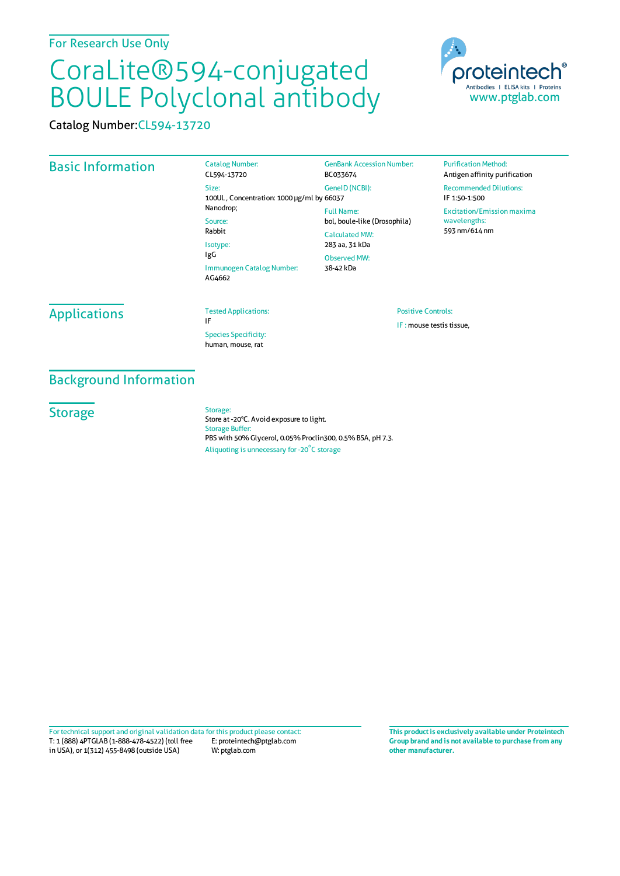# CoraLite®594-conjugated BOULE Polyclonal antibody

Catalog Number:CL594-13720

## Basic Information

Catalog Number: CL594-13720 Size: 100UL , Concentration: 1000 μg/ml by 66037 Nanodrop; Source: Rabbit Isotype: IgG Immunogen Catalog Number: AG4662 GenBank Accession Number: BC033674 GeneID(NCBI): Full Name: CalculatedMW: 283 aa, 31 kDa Observed MW: 38-42 kDa

bol, boule-like (Drosophila)

**Purification Method:** Antigen affinity purification Recommended Dilutions: IF 1:50-1:500 Excitation/Emission maxima wavelengths: 593 nm/614 nm

## **Applications**

Tested Applications: IF

Species Specificity: human, mouse, rat

#### Positive Controls:

IF : mouse testis tissue,

## Background Information

Storage: Store at -20°C. Avoid exposure to light. Storage Buffer: PBS with 50% Glycerol, 0.05% Proclin300, 0.5% BSA, pH 7.3. Aliquoting is unnecessary for -20<sup>°</sup>C storage

T: 1 (888) 4PTGLAB (1-888-478-4522) (toll free in USA), or 1(312) 455-8498 (outside USA) E: proteintech@ptglab.com W: ptglab.com Fortechnical support and original validation data forthis product please contact: **This productis exclusively available under Proteintech**

**Group brand and is not available to purchase from any other manufacturer.**



**Storage**